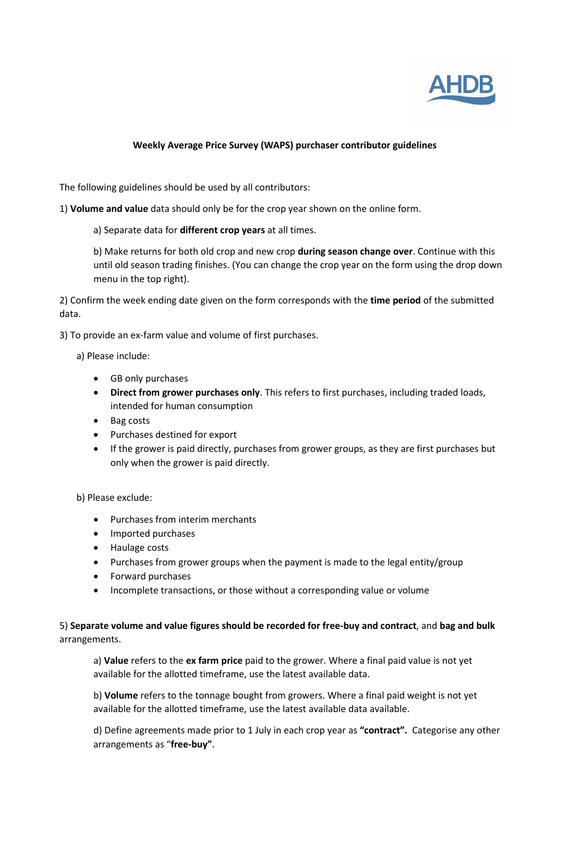

## **Weekly Average Price Survey (WAPS) purchaser contributor guidelines**

The following guidelines should be used by all contributors:

1) **Volume and value** data should only be for the crop year shown on the online form.

a) Separate data for **different crop years** at all times.

b) Make returns for both old crop and new crop **during season change over**. Continue with this until old season trading finishes. (You can change the crop year on the form using the drop down menu in the top right).

2) Confirm the week ending date given on the form corresponds with the **time period** of the submitted data.

3) To provide an ex-farm value and volume of first purchases.

- a) Please include:
	- GB only purchases
	- **Direct from grower purchases only**. This refers to first purchases, including traded loads, intended for human consumption
	- Bag costs
	- Purchases destined for export
	- If the grower is paid directly, purchases from grower groups, as they are first purchases but only when the grower is paid directly.

b) Please exclude:

- Purchases from interim merchants
- Imported purchases
- Haulage costs
- Purchases from grower groups when the payment is made to the legal entity/group
- Forward purchases
- Incomplete transactions, or those without a corresponding value or volume

5) **Separate volume and value figures should be recorded for free-buy and contract**, and **bag and bulk** arrangements.

a) **Value** refers to the **ex farm price** paid to the grower. Where a final paid value is not yet available for the allotted timeframe, use the latest available data.

b) **Volume** refers to the tonnage bought from growers. Where a final paid weight is not yet available for the allotted timeframe, use the latest available data available.

d) Define agreements made prior to 1 July in each crop year as **"contract".** Categorise any other arrangements as "**free-buy"**.